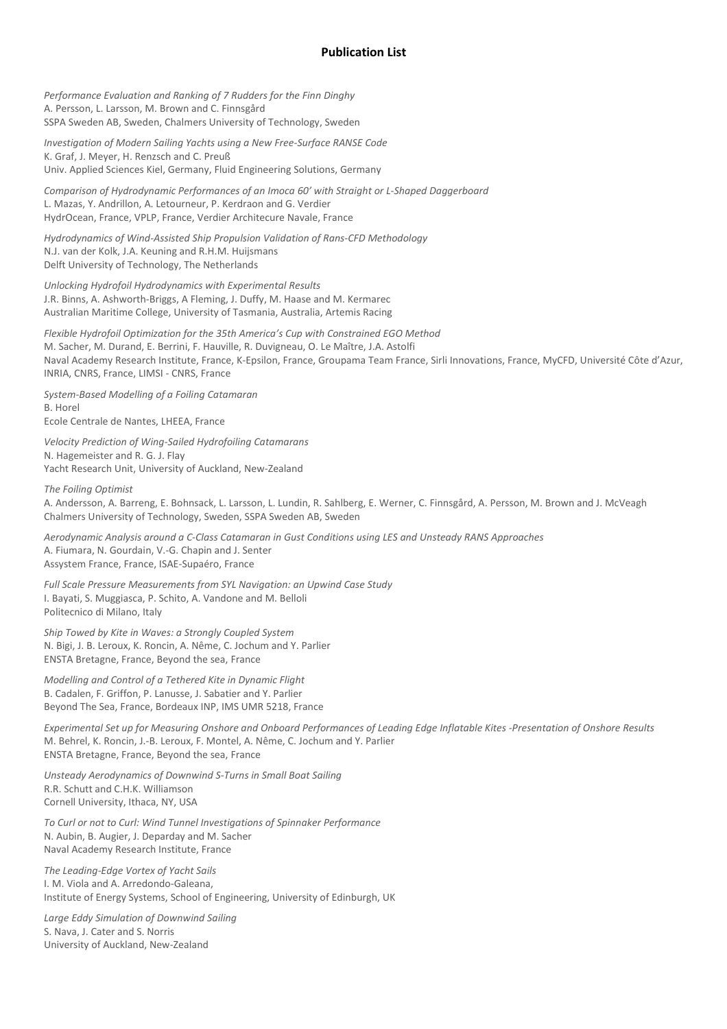## **Publication List**

*Performance Evaluation and Ranking of 7 Rudders for the Finn Dinghy*  A. Persson, L. Larsson, M. Brown and C. Finnsgård SSPA Sweden AB, Sweden, Chalmers University of Technology, Sweden

*Investigation of Modern Sailing Yachts using a New Free-Surface RANSE Code*  K. Graf, J. Meyer, H. Renzsch and C. Preuß Univ. Applied Sciences Kiel, Germany, Fluid Engineering Solutions, Germany

*Comparison of Hydrodynamic Performances of an Imoca 60' with Straight or L-Shaped Daggerboard*  L. Mazas, Y. Andrillon, A. Letourneur, P. Kerdraon and G. Verdier HydrOcean, France, VPLP, France, Verdier Architecure Navale, France

*Hydrodynamics of Wind-Assisted Ship Propulsion Validation of Rans-CFD Methodology*  N.J. van der Kolk, J.A. Keuning and R.H.M. Huijsmans Delft University of Technology, The Netherlands

*Unlocking Hydrofoil Hydrodynamics with Experimental Results*  J.R. Binns, A. Ashworth-Briggs, A Fleming, J. Duffy, M. Haase and M. Kermarec Australian Maritime College, University of Tasmania, Australia, Artemis Racing

*Flexible Hydrofoil Optimization for the 35th America's Cup with Constrained EGO Method*  M. Sacher, M. Durand, E. Berrini, F. Hauville, R. Duvigneau, O. Le Maître, J.A. Astolfi Naval Academy Research Institute, France, K-Epsilon, France, Groupama Team France, Sirli Innovations, France, MyCFD, Université Côte d'Azur, INRIA, CNRS, France, LIMSI - CNRS, France

*System-Based Modelling of a Foiling Catamaran*  B. Horel Ecole Centrale de Nantes, LHEEA, France

*Velocity Prediction of Wing-Sailed Hydrofoiling Catamarans*  N. Hagemeister and R. G. J. Flay Yacht Research Unit, University of Auckland, New-Zealand

*The Foiling Optimist* 

A. Andersson, A. Barreng, E. Bohnsack, L. Larsson, L. Lundin, R. Sahlberg, E. Werner, C. Finnsgård, A. Persson, M. Brown and J. McVeagh Chalmers University of Technology, Sweden, SSPA Sweden AB, Sweden

*Aerodynamic Analysis around a C-Class Catamaran in Gust Conditions using LES and Unsteady RANS Approaches*  A. Fiumara, N. Gourdain, V.-G. Chapin and J. Senter Assystem France, France, ISAE-Supaéro, France

*Full Scale Pressure Measurements from SYL Navigation: an Upwind Case Study*  I. Bayati, S. Muggiasca, P. Schito, A. Vandone and M. Belloli Politecnico di Milano, Italy

*Ship Towed by Kite in Waves: a Strongly Coupled System*  N. Bigi, J. B. Leroux, K. Roncin, A. Nême, C. Jochum and Y. Parlier ENSTA Bretagne, France, Beyond the sea, France

*Modelling and Control of a Tethered Kite in Dynamic Flight*  B. Cadalen, F. Griffon, P. Lanusse, J. Sabatier and Y. Parlier Beyond The Sea, France, Bordeaux INP, IMS UMR 5218, France

*Experimental Set up for Measuring Onshore and Onboard Performances of Leading Edge Inflatable Kites -Presentation of Onshore Results*  M. Behrel, K. Roncin, J.-B. Leroux, F. Montel, A. Nême, C. Jochum and Y. Parlier ENSTA Bretagne, France, Beyond the sea, France

*Unsteady Aerodynamics of Downwind S-Turns in Small Boat Sailing*  R.R. Schutt and C.H.K. Williamson Cornell University, Ithaca, NY, USA

*To Curl or not to Curl: Wind Tunnel Investigations of Spinnaker Performance*  N. Aubin, B. Augier, J. Deparday and M. Sacher Naval Academy Research Institute, France

*The Leading-Edge Vortex of Yacht Sails*  I. M. Viola and A. Arredondo-Galeana, Institute of Energy Systems, School of Engineering, University of Edinburgh, UK

*Large Eddy Simulation of Downwind Sailing*  S. Nava, J. Cater and S. Norris University of Auckland, New-Zealand